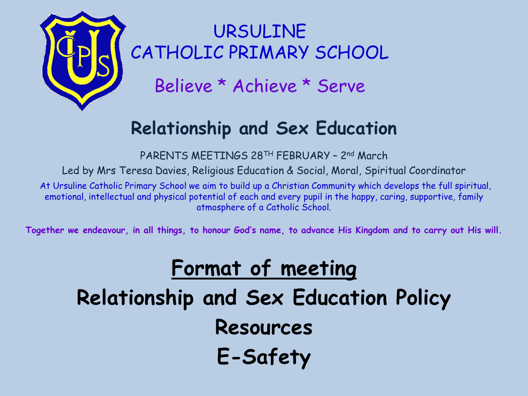

URSULINE CATHOLIC PRIMARY SCHOOL

Believe \* Achieve \* Serve

#### **Relationship and Sex Education**

PARENTS MEETINGS 28TH FEBRUARY – 2nd March

Led by Mrs Teresa Davies, Religious Education & Social, Moral, Spiritual Coordinator

At Ursuline Catholic Primary School we aim to build up a Christian Community which develops the full spiritual, emotional, intellectual and physical potential of each and every pupil in the happy, caring, supportive, family atmosphere of a Catholic School.

**Together we endeavour, in all things, to honour God's name, to advance His Kingdom and to carry out His will.**

## **Format of meeting Relationship and Sex Education Policy Resources E-Safety**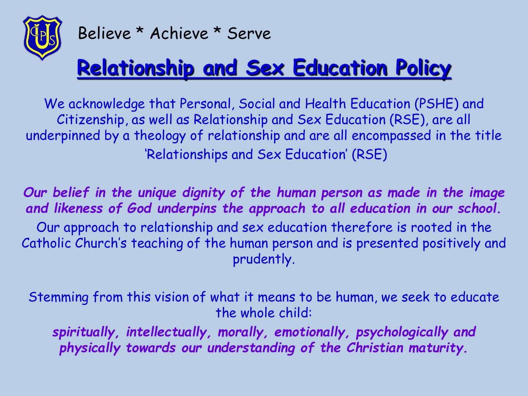

## **Relationship and Sex Education Policy**

We acknowledge that Personal, Social and Health Education (PSHE) and Citizenship, as well as Relationship and Sex Education (RSE), are all underpinned by a theology of relationship and are all encompassed in the title 'Relationships and Sex Education' (RSE)

*Our belief in the unique dignity of the human person as made in the image and likeness of God underpins the approach to all education in our school.* Our approach to relationship and sex education therefore is rooted in the Catholic Church's teaching of the human person and is presented positively and prudently.

Stemming from this vision of what it means to be human, we seek to educate the whole child:

*spiritually, intellectually, morally, emotionally, psychologically and physically towards our understanding of the Christian maturity.*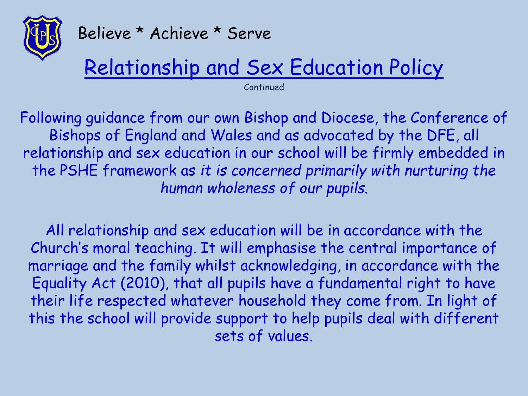

## Relationship and Sex Education Policy

Continued

Following guidance from our own Bishop and Diocese, the Conference of Bishops of England and Wales and as advocated by the DFE, all relationship and sex education in our school will be firmly embedded in the PSHE framework as *it is concerned primarily with nurturing the human wholeness of our pupils*.

All relationship and sex education will be in accordance with the Church's moral teaching. It will emphasise the central importance of marriage and the family whilst acknowledging, in accordance with the Equality Act (2010), that all pupils have a fundamental right to have their life respected whatever household they come from. In light of this the school will provide support to help pupils deal with different sets of values.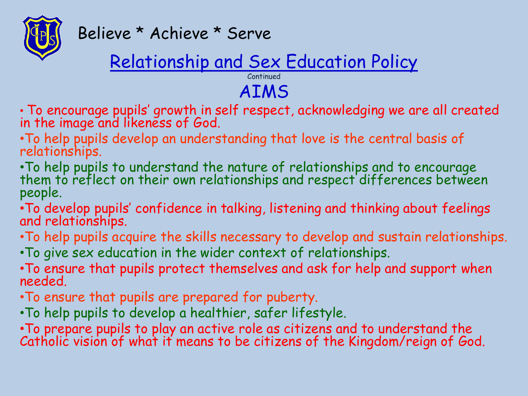

### Relationship and Sex Education Policy

Continued AIMS

- To encourage pupils' growth in self respect, acknowledging we are all created in the image and likeness of God.
- •To help pupils develop an understanding that love is the central basis of relationships.
- •To help pupils to understand the nature of relationships and to encourage them to reflect on their own relationships and respect differences between people.
- •To develop pupils' confidence in talking, listening and thinking about feelings and relationships.
- •To help pupils acquire the skills necessary to develop and sustain relationships.
- •To give sex education in the wider context of relationships.
- •To ensure that pupils protect themselves and ask for help and support when needed.
- •To ensure that pupils are prepared for puberty.
- •To help pupils to develop a healthier, safer lifestyle.
- •To prepare pupils to play an active role as citizens and to understand the Catholic vision of what it means to be citizens of the Kingdom/reign of God.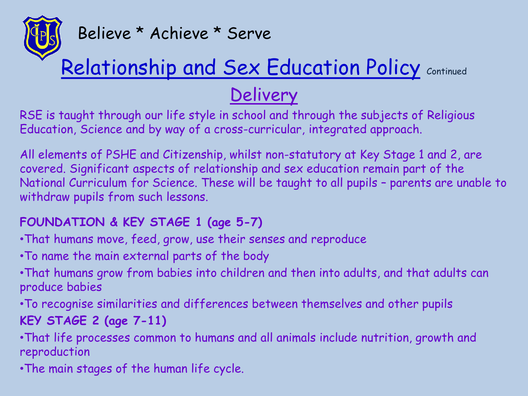

## Relationship and Sex Education Policy Continued

#### **Delivery**

RSE is taught through our life style in school and through the subjects of Religious Education, Science and by way of a cross-curricular, integrated approach.

All elements of PSHE and Citizenship, whilst non-statutory at Key Stage 1 and 2, are covered. Significant aspects of relationship and sex education remain part of the National Curriculum for Science. These will be taught to all pupils – parents are unable to withdraw pupils from such lessons.

#### **FOUNDATION & KEY STAGE 1 (age 5-7)**

- •That humans move, feed, grow, use their senses and reproduce
- •To name the main external parts of the body
- •That humans grow from babies into children and then into adults, and that adults can produce babies

•To recognise similarities and differences between themselves and other pupils **KEY STAGE 2 (age 7-11)**

•That life processes common to humans and all animals include nutrition, growth and reproduction

•The main stages of the human life cycle.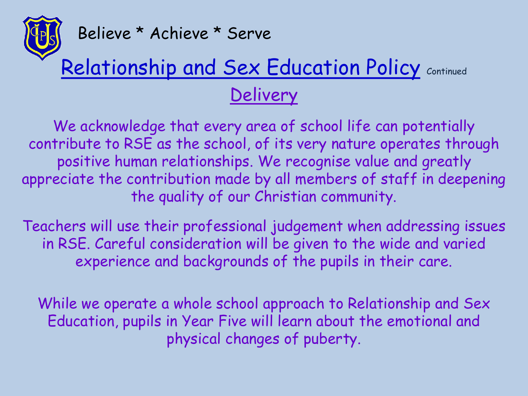

## Relationship and Sex Education Policy Continued **Delivery**

We acknowledge that every area of school life can potentially contribute to RSE as the school, of its very nature operates through positive human relationships. We recognise value and greatly appreciate the contribution made by all members of staff in deepening the quality of our Christian community.

Teachers will use their professional judgement when addressing issues in RSE. Careful consideration will be given to the wide and varied experience and backgrounds of the pupils in their care.

While we operate a whole school approach to Relationship and Sex Education, pupils in Year Five will learn about the emotional and physical changes of puberty.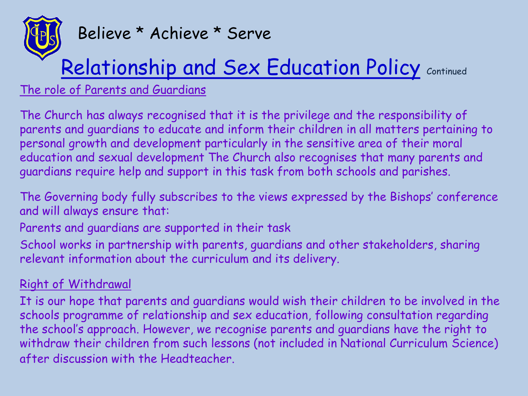

## Relationship and Sex Education Policy Continued

The role of Parents and Guardians

The Church has always recognised that it is the privilege and the responsibility of parents and guardians to educate and inform their children in all matters pertaining to personal growth and development particularly in the sensitive area of their moral education and sexual development The Church also recognises that many parents and guardians require help and support in this task from both schools and parishes.

The Governing body fully subscribes to the views expressed by the Bishops' conference and will always ensure that:

Parents and guardians are supported in their task

School works in partnership with parents, guardians and other stakeholders, sharing relevant information about the curriculum and its delivery.

#### Right of Withdrawal

It is our hope that parents and guardians would wish their children to be involved in the schools programme of relationship and sex education, following consultation regarding the school's approach. However, we recognise parents and guardians have the right to withdraw their children from such lessons (not included in National Curriculum Science) after discussion with the Headteacher.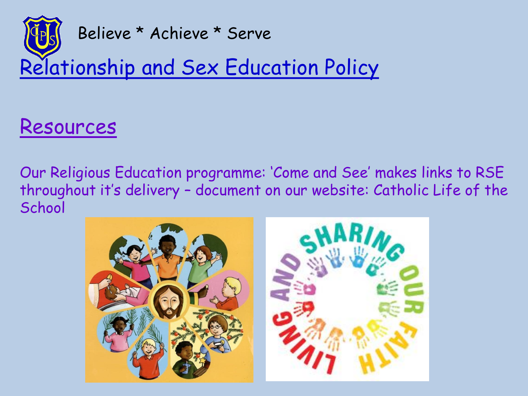

### Resources

Our Religious Education programme: 'Come and See' makes links to RSE throughout it's delivery – document on our website: Catholic Life of the **School** 

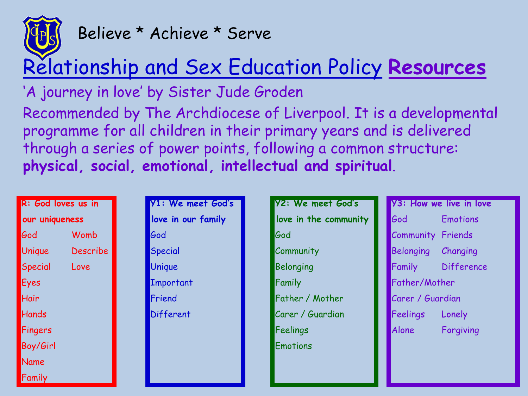

## Relationship and Sex Education Policy **Resources**

'A journey in love' by Sister Jude Groden

Recommended by The Archdiocese of Liverpool. It is a developmental programme for all children in their primary years and is delivered through a series of power points, following a common structure: **physical, social, emotional, intellectual and spiritual**.

| R: God loves us in |          |  |  |  |
|--------------------|----------|--|--|--|
| our uniqueness     |          |  |  |  |
| God                | Womb     |  |  |  |
| Unique             | Describe |  |  |  |
| Special            | Love     |  |  |  |
| <b>Eyes</b>        |          |  |  |  |
| Hair               |          |  |  |  |
| Hands              |          |  |  |  |
| Fingers            |          |  |  |  |
| Boy/Girl           |          |  |  |  |
| Name               |          |  |  |  |
| Family             |          |  |  |  |

| <b>Y1: We meet God's</b> |
|--------------------------|
| love in our family       |
| God                      |
| Special                  |
| Unique                   |
| Important                |
| Friend                   |
| Different                |
|                          |
|                          |

| <b>Y2: We meet God's</b> |  |
|--------------------------|--|
| love in the community    |  |
| God                      |  |
| Community                |  |
| Belonging                |  |
| Family                   |  |
| Father / Mother          |  |
| Carer / Guardian         |  |
| Feelings                 |  |
| Emotions                 |  |

**Y3: How we live in love** God Emotions Community Friends Belonging Changing Family Difference Father/Mother Carer / Guardian Feelings Lonely Alone Forgiving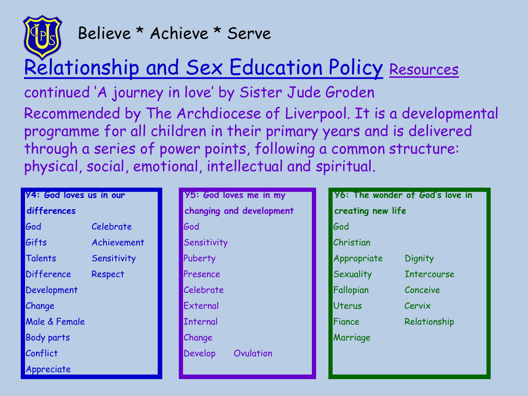

## Relationship and Sex Education Policy Resources

continued 'A journey in love' by Sister Jude Groden Recommended by The Archdiocese of Liverpool. It is a developmental programme for all children in their primary years and is delivered through a series of power points, following a common structure: physical, social, emotional, intellectual and spiritual.

| <b>Y4: God loves us in our</b> |             | <b>Y5: God loves</b> |  |
|--------------------------------|-------------|----------------------|--|
| differences                    |             | changing and         |  |
| God                            | Celebrate   | God                  |  |
| Gifts                          | Achievement | Sensitivity          |  |
| Talents                        | Sensitivity | Puberty              |  |
| <b>Difference</b>              | Respect     | Presence             |  |
| Development                    |             | Celebrate            |  |
| Change                         |             | External             |  |
| <b>Male &amp; Female</b>       |             | <b>Internal</b>      |  |
| Body parts                     |             | Change               |  |
| Conflict                       |             | Develop<br>Jν        |  |
| Appreciate                     |             |                      |  |

|                 | <b>Y5: God loves me in my</b> | У                       |
|-----------------|-------------------------------|-------------------------|
|                 | changing and development      | <b>CI</b>               |
| God             |                               | Ġ                       |
| Sensitivity     |                               | $\mathcal{C}$           |
| Puberty         |                               | A <sub>1</sub>          |
| Presence        |                               | S <sub>0</sub>          |
| Celebrate       |                               | F٥                      |
| External        |                               | Ú                       |
| <b>Internal</b> |                               | Fi                      |
| Change          |                               | $\overline{\mathsf{M}}$ |
| Develop         | Ovulation                     |                         |
|                 |                               |                         |

| <b>Y6: The wonder of God's love in</b> |  |  |
|----------------------------------------|--|--|
| creating new life                      |  |  |
|                                        |  |  |
|                                        |  |  |
| Dignity                                |  |  |
| <b>Intercourse</b>                     |  |  |
| Conceive                               |  |  |
| Cervix                                 |  |  |
| Relationship                           |  |  |
|                                        |  |  |
|                                        |  |  |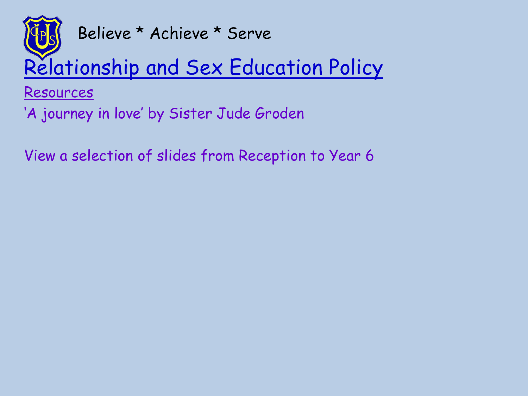

## Relationship and Sex Education Policy

Resources

'A journey in love' by Sister Jude Groden

View a selection of slides from Reception to Year 6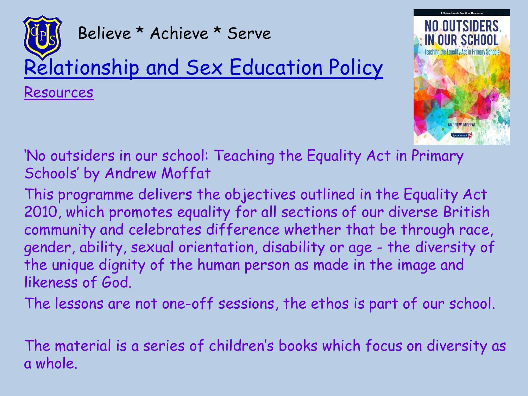



'No outsiders in our school: Teaching the Equality Act in Primary Schools' by Andrew Moffat

This programme delivers the objectives outlined in the Equality Act 2010, which promotes equality for all sections of our diverse British community and celebrates difference whether that be through race, gender, ability, sexual orientation, disability or age - the diversity of the unique dignity of the human person as made in the image and likeness of God.

The lessons are not one-off sessions, the ethos is part of our school.

The material is a series of children's books which focus on diversity as a whole.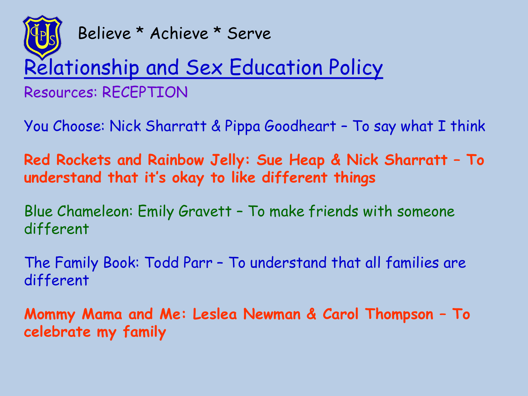

### Relationship and Sex Education Policy Resources: RECEPTION

You Choose: Nick Sharratt & Pippa Goodheart – To say what I think

**Red Rockets and Rainbow Jelly: Sue Heap & Nick Sharratt – To understand that it's okay to like different things**

Blue Chameleon: Emily Gravett – To make friends with someone different

The Family Book: Todd Parr – To understand that all families are different

**Mommy Mama and Me: Leslea Newman & Carol Thompson – To celebrate my family**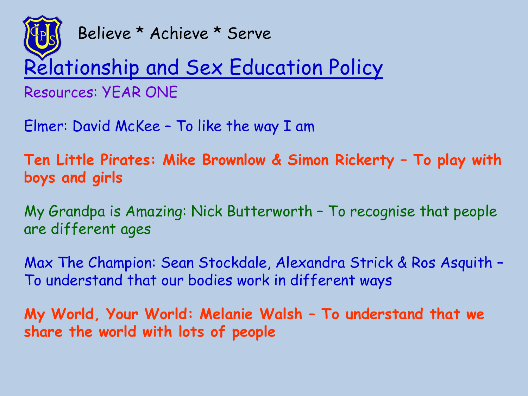

Relationship and Sex Education Policy

Resources: YEAR ONE

Elmer: David McKee – To like the way I am

**Ten Little Pirates: Mike Brownlow & Simon Rickerty – To play with boys and girls**

My Grandpa is Amazing: Nick Butterworth – To recognise that people are different ages

Max The Champion: Sean Stockdale, Alexandra Strick & Ros Asquith – To understand that our bodies work in different ways

**My World, Your World: Melanie Walsh – To understand that we share the world with lots of people**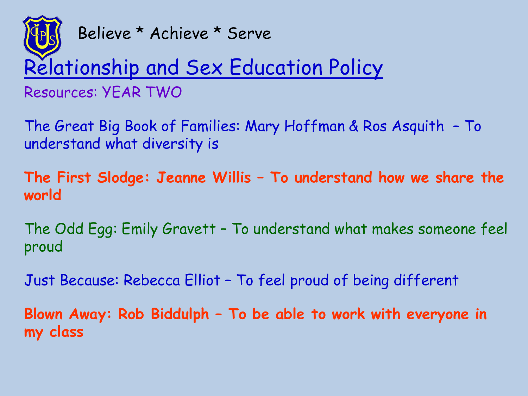

## Relationship and Sex Education Policy

Resources: YEAR TWO

The Great Big Book of Families: Mary Hoffman & Ros Asquith – To understand what diversity is

**The First Slodge: Jeanne Willis – To understand how we share the world**

The Odd Egg: Emily Gravett – To understand what makes someone feel proud

Just Because: Rebecca Elliot – To feel proud of being different

**Blown Away: Rob Biddulph – To be able to work with everyone in my class**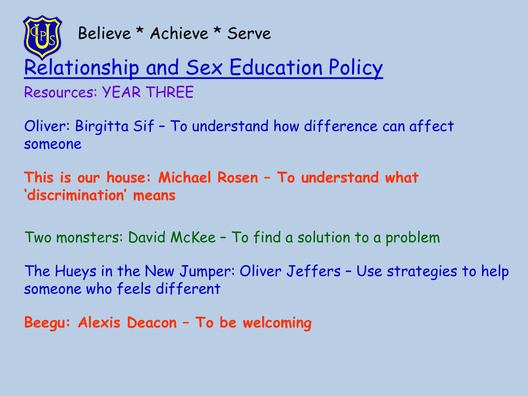

# Relationship and Sex Education Policy

Resources: YEAR THREE

Oliver: Birgitta Sif – To understand how difference can affect someone

**This is our house: Michael Rosen – To understand what 'discrimination' means**

Two monsters: David McKee – To find a solution to a problem

The Hueys in the New Jumper: Oliver Jeffers – Use strategies to help someone who feels different

**Beegu: Alexis Deacon – To be welcoming**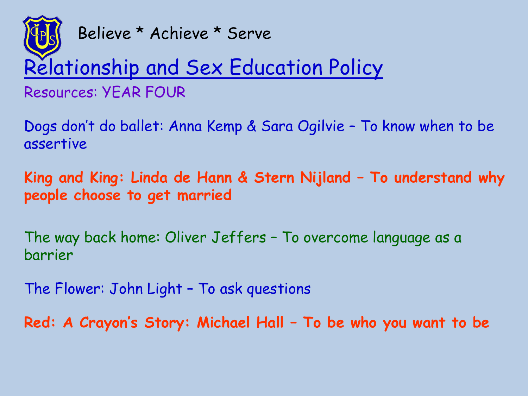

## Relationship and Sex Education Policy

Resources: YEAR FOUR

Dogs don't do ballet: Anna Kemp & Sara Ogilvie – To know when to be assertive

**King and King: Linda de Hann & Stern Nijland – To understand why people choose to get married**

The way back home: Oliver Jeffers – To overcome language as a barrier

The Flower: John Light – To ask questions

**Red: A Crayon's Story: Michael Hall – To be who you want to be**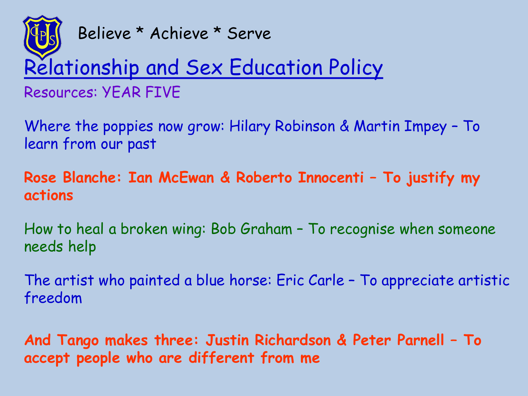

## Relationship and Sex Education Policy

Resources: YEAR FIVE

Where the poppies now grow: Hilary Robinson & Martin Impey – To learn from our past

**Rose Blanche: Ian McEwan & Roberto Innocenti – To justify my actions**

How to heal a broken wing: Bob Graham – To recognise when someone needs help

The artist who painted a blue horse: Eric Carle – To appreciate artistic freedom

**And Tango makes three: Justin Richardson & Peter Parnell – To accept people who are different from me**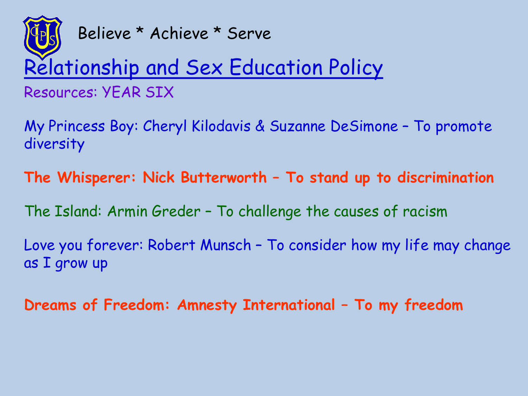

# Relationship and Sex Education Policy

Resources: YEAR SIX

My Princess Boy: Cheryl Kilodavis & Suzanne DeSimone – To promote diversity

**The Whisperer: Nick Butterworth – To stand up to discrimination**

The Island: Armin Greder – To challenge the causes of racism

Love you forever: Robert Munsch – To consider how my life may change as I grow up

**Dreams of Freedom: Amnesty International – To my freedom**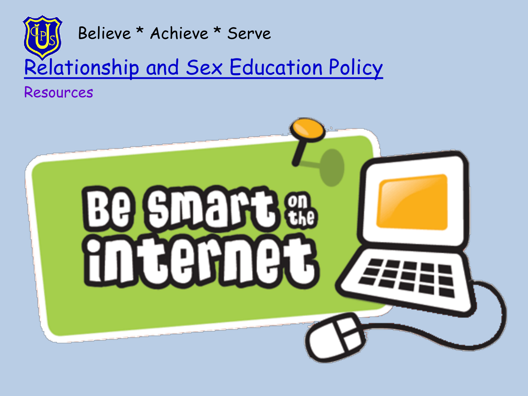

Resources

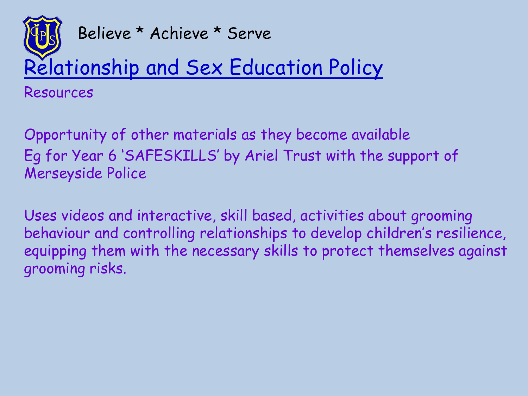

Relationship and Sex Education Policy

Resources

Opportunity of other materials as they become available Eg for Year 6 'SAFESKILLS' by Ariel Trust with the support of Merseyside Police

Uses videos and interactive, skill based, activities about grooming behaviour and controlling relationships to develop children's resilience, equipping them with the necessary skills to protect themselves against grooming risks.